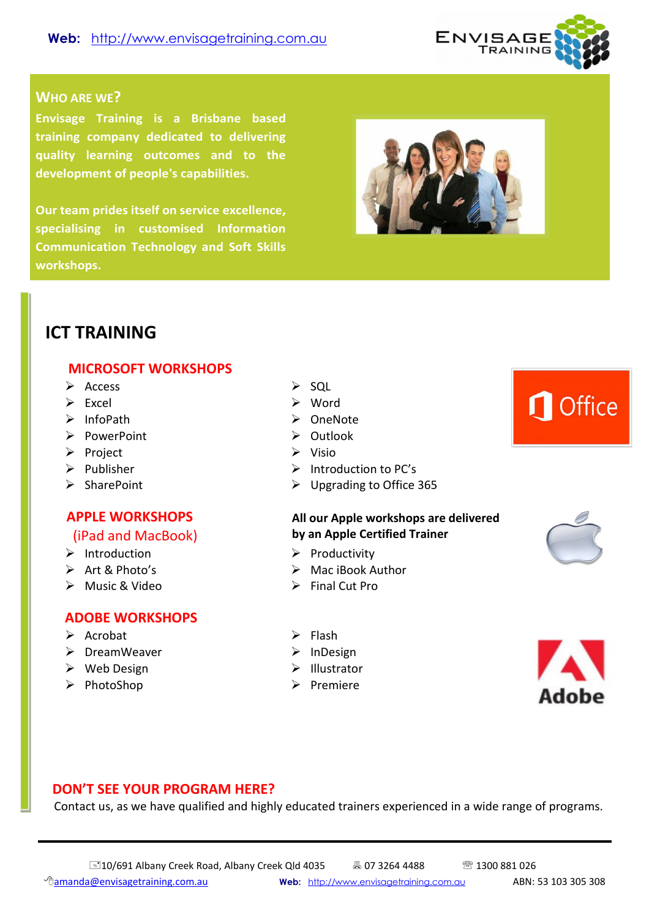

#### **WHO ARE WE?**

**Envisage Training is a Brisbane based training company dedicated to delivering quality learning outcomes and to the development of people's capabilities.** 

**Our team prides itself on service excellence, specialising in customised Information Communication Technology and Soft Skills workshops.**



## **ICT TRAINING**

#### **MICROSOFT WORKSHOPS**

- $\triangleright$  Access  $\triangleright$  SQL
- 
- 
- PowerPoint > Outlook
- → Project → Visio
- 
- 

## **APPLE WORKSHOPS**

#### (iPad and MacBook)

- 
- $\triangleright$  Art & Photo's
- $\triangleright$  Music & Video

#### **ADOBE WORKSHOPS**

- $\triangleright$  Acrobat  $\triangleright$  Flash
- > DreamWeaver > InDesign
- → Web Design → Illustrator
- PhotoShop Premiere
- 
- $\triangleright$  Fxcel  $\triangleright$  Word
- ▶ InfoPath ▶ OneNote
	-
	-
- **EXECUTE:** Publisher **Introduction to PC's**
- SharePoint Upgrading to Office 365

#### **All our Apple workshops are delivered by an Apple Certified Trainer**

- $\triangleright$  Introduction  $\triangleright$  Productivity
	- $\triangleright$  Mac iBook Author
	- $\triangleright$  Final Cut Pro
	-
	-
	-
	-



**O** Office





### **DON'T SEE YOUR PROGRAM HERE?**

Contact us, as we have qualified and highly educated trainers experienced in a wide range of programs.